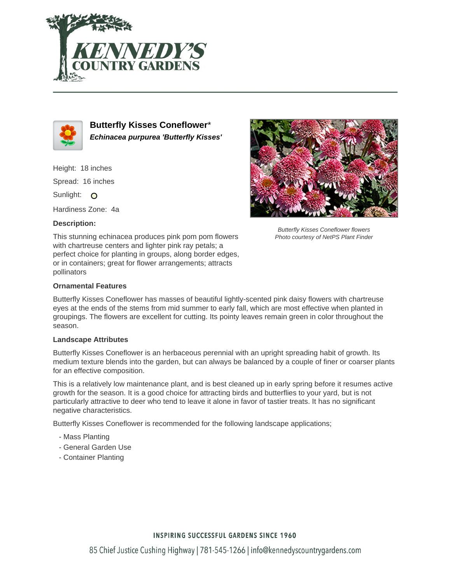



**Butterfly Kisses Coneflower**\* **Echinacea purpurea 'Butterfly Kisses'**

Height: 18 inches

Spread: 16 inches

Sunlight: O

Hardiness Zone: 4a

### **Description:**





Butterfly Kisses Coneflower flowers Photo courtesy of NetPS Plant Finder

# **Ornamental Features**

Butterfly Kisses Coneflower has masses of beautiful lightly-scented pink daisy flowers with chartreuse eyes at the ends of the stems from mid summer to early fall, which are most effective when planted in groupings. The flowers are excellent for cutting. Its pointy leaves remain green in color throughout the season.

#### **Landscape Attributes**

Butterfly Kisses Coneflower is an herbaceous perennial with an upright spreading habit of growth. Its medium texture blends into the garden, but can always be balanced by a couple of finer or coarser plants for an effective composition.

This is a relatively low maintenance plant, and is best cleaned up in early spring before it resumes active growth for the season. It is a good choice for attracting birds and butterflies to your yard, but is not particularly attractive to deer who tend to leave it alone in favor of tastier treats. It has no significant negative characteristics.

Butterfly Kisses Coneflower is recommended for the following landscape applications;

- Mass Planting
- General Garden Use
- Container Planting

# **INSPIRING SUCCESSFUL GARDENS SINCE 1960**